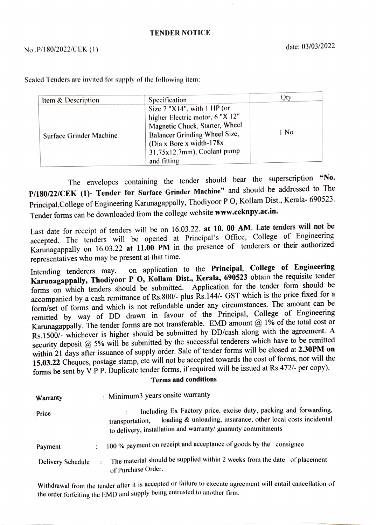## TENDER NOTICE

Specification Qty Size 7 "X 14", with 1 HP (or higher Electric motor, 6 "X 12" Magnetic Chuck, Starter, Wheel Surface Grinder Machine Balancer Grinding Wheel Size, 1 No (Dia x Bore x width-178x 31.75x12.7mm), Coolant pump and fitting Item & Description

Sealed Tenders are invited for supply of the following item:

The envelopes containing the tender should bear the superscription "No. P/180/22/CEK (1)- Tender for Surface Grinder Machine" and should be addressed to The Principal,College of Engineering Karunagappally, Thodiyoor P O, Kollam Dist., Kerala- 690523. Tender forms can be downloaded from the college website www.ceknpy.ac.in.

Last date for receipt of tenders will be on 16.03.22. at 10. 00 AM. Late tenders will not be accepted. The tenders will be opened at Principal's Office, College of Engineering Karunagappally on 16.03.22 at 11.00 PM in the presence of tenderers or their authorized representatives who may be present at that time.

Intending tenderers may, on application to the Principal, College of Engineering Karunagappally, Thodiyoor P O, Kollam Dist., Kerala, 690523 obtain the requisite tender forms on which tenders should be submitted. Application for the tender form should be accompanied by a cash remittance of Rs.800/- plus Rs.144/- GST which is the price fixed for a form/set of forms and which is not refundable under any circumstances. The amount can be remitted by way of DD drawn in favour of the Principal, College of Engineering Karunagappally. The tender forms are not transferable. EMD amount  $@1\%$  of the total cost or Rs.1500/- whichever is higher should be submitted by DD/cash along with the agreement. A security deposit @ 5% will be submitted by the successful tenderers which have to be remitted within 21 days after issuance of supply order. Sale of tender forms will be closed at 2.30PM on 15.03.22 Cheques, postage stamp, etc will not be accepted towards the cost of forms, nor will the forms be sent by V PP. Duplicate tender forms, if required will be issued at Rs.472/- per copy).

## Terms and conditions

| Warranty          |         | : Minimum3 years onsite warranty                                                                                                                                                                                    |
|-------------------|---------|---------------------------------------------------------------------------------------------------------------------------------------------------------------------------------------------------------------------|
| Price             |         | Including Ex Factory price, excise duty, packing and forwarding,<br>loading & unloading, insurance, other local costs incidental<br>transportation,<br>to delivery, installation and warranty/ guaranty commitments |
| Payment           |         | 100 % payment on receipt and acceptance of goods by the consignee                                                                                                                                                   |
| Delivery Schedule | $\cdot$ | The material should be supplied within 2 weeks from the date of placement<br>of Purchase Order.                                                                                                                     |

Withdrawal from the tender after it is accepted or failure to exeeute ngreement will entail cancellation of the order forfeiting the EMD and supply being entrusted to another lirm.